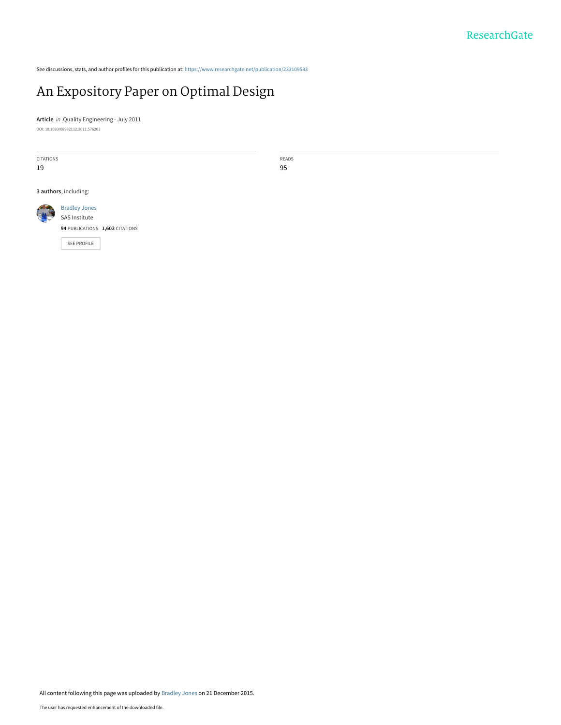See discussions, stats, and author profiles for this publication at: [https://www.researchgate.net/publication/233109583](https://www.researchgate.net/publication/233109583_An_Expository_Paper_on_Optimal_Design?enrichId=rgreq-bc707067b3aa96ed10486d232ed21e4e-XXX&enrichSource=Y292ZXJQYWdlOzIzMzEwOTU4MztBUzozMDkwODU3NTExODU0MDhAMTQ1MDcwMzE5Mzk2Ng%3D%3D&el=1_x_2&_esc=publicationCoverPdf)

READS 95

## [An Expository Paper on Optimal Design](https://www.researchgate.net/publication/233109583_An_Expository_Paper_on_Optimal_Design?enrichId=rgreq-bc707067b3aa96ed10486d232ed21e4e-XXX&enrichSource=Y292ZXJQYWdlOzIzMzEwOTU4MztBUzozMDkwODU3NTExODU0MDhAMTQ1MDcwMzE5Mzk2Ng%3D%3D&el=1_x_3&_esc=publicationCoverPdf)

**Article** in Quality Engineering · July 2011 DOI: 10.1080/08982112.2011.576203

| <b>CITATIONS</b> |                                 |  |
|------------------|---------------------------------|--|
| 19               |                                 |  |
|                  |                                 |  |
|                  |                                 |  |
|                  | 3 authors, including:           |  |
|                  |                                 |  |
|                  | <b>Bradley Jones</b>            |  |
|                  | SAS Institute                   |  |
|                  | 94 PUBLICATIONS 1,603 CITATIONS |  |
|                  | <b>SEE PROFILE</b>              |  |
|                  |                                 |  |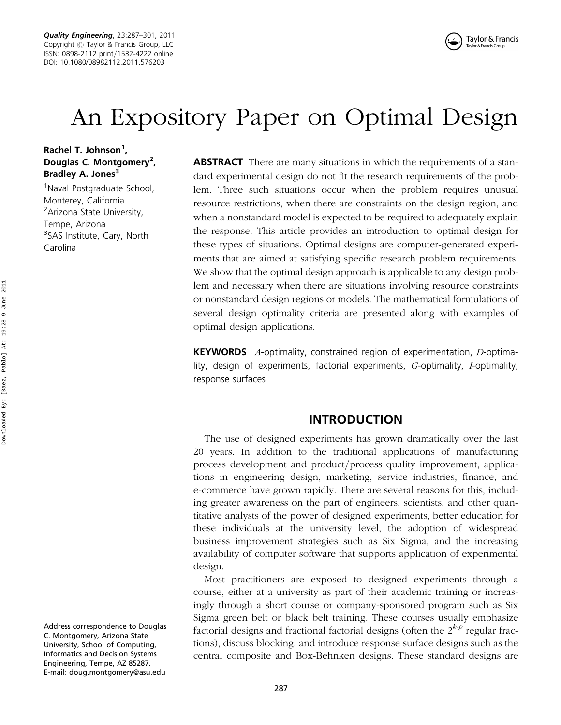

# An Expository Paper on Optimal Design

#### Rachel T. Johnson<sup>1</sup>, Douglas C. Montgomery<sup>2</sup>, Bradley A. Jones<sup>3</sup>

<sup>1</sup>Naval Postgraduate School, Monterey, California <sup>2</sup> Arizona State University, Tempe, Arizona <sup>3</sup>SAS Institute, Cary, North Carolina

**ABSTRACT** There are many situations in which the requirements of a standard experimental design do not fit the research requirements of the problem. Three such situations occur when the problem requires unusual resource restrictions, when there are constraints on the design region, and when a nonstandard model is expected to be required to adequately explain the response. This article provides an introduction to optimal design for these types of situations. Optimal designs are computer-generated experiments that are aimed at satisfying specific research problem requirements. We show that the optimal design approach is applicable to any design problem and necessary when there are situations involving resource constraints or nonstandard design regions or models. The mathematical formulations of several design optimality criteria are presented along with examples of optimal design applications.

**KEYWORDS** A-optimality, constrained region of experimentation, D-optimality, design of experiments, factorial experiments, G-optimality, I-optimality, response surfaces

## INTRODUCTION

The use of designed experiments has grown dramatically over the last 20 years. In addition to the traditional applications of manufacturing process development and product/process quality improvement, applications in engineering design, marketing, service industries, finance, and e-commerce have grown rapidly. There are several reasons for this, including greater awareness on the part of engineers, scientists, and other quantitative analysts of the power of designed experiments, better education for these individuals at the university level, the adoption of widespread business improvement strategies such as Six Sigma, and the increasing availability of computer software that supports application of experimental design.

Most practitioners are exposed to designed experiments through a course, either at a university as part of their academic training or increasingly through a short course or company-sponsored program such as Six Sigma green belt or black belt training. These courses usually emphasize factorial designs and fractional factorial designs (often the  $2^{k-p}$  regular fractions), discuss blocking, and introduce response surface designs such as the central composite and Box-Behnken designs. These standard designs are

Engineering, Tempe, AZ 85287. E-mail: doug.montgomery@asu.edu

Address correspondence to Douglas C. Montgomery, Arizona State University, School of Computing, Informatics and Decision Systems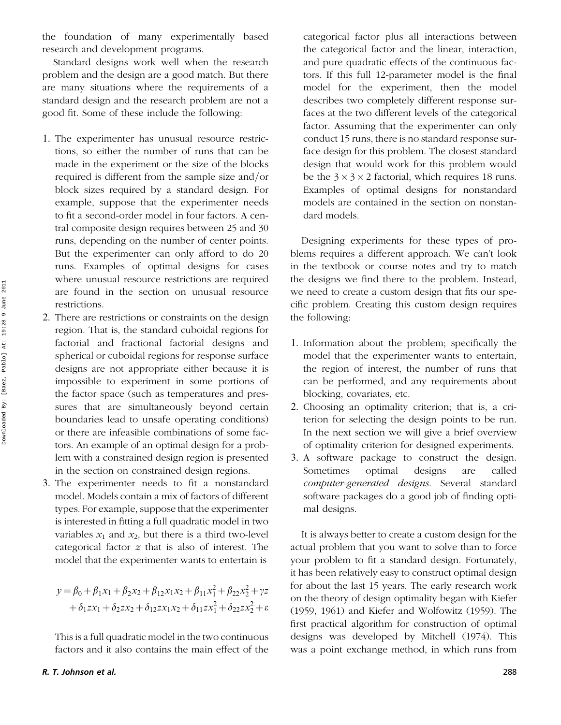the foundation of many experimentally based research and development programs.

Standard designs work well when the research problem and the design are a good match. But there are many situations where the requirements of a standard design and the research problem are not a good fit. Some of these include the following:

- 1. The experimenter has unusual resource restrictions, so either the number of runs that can be made in the experiment or the size of the blocks required is different from the sample size and/or block sizes required by a standard design. For example, suppose that the experimenter needs to fit a second-order model in four factors. A central composite design requires between 25 and 30 runs, depending on the number of center points. But the experimenter can only afford to do 20 runs. Examples of optimal designs for cases where unusual resource restrictions are required are found in the section on unusual resource restrictions.
- 2. There are restrictions or constraints on the design region. That is, the standard cuboidal regions for factorial and fractional factorial designs and spherical or cuboidal regions for response surface designs are not appropriate either because it is impossible to experiment in some portions of the factor space (such as temperatures and pressures that are simultaneously beyond certain boundaries lead to unsafe operating conditions) or there are infeasible combinations of some factors. An example of an optimal design for a problem with a constrained design region is presented in the section on constrained design regions.
- 3. The experimenter needs to fit a nonstandard model. Models contain a mix of factors of different types. For example, suppose that the experimenter is interested in fitting a full quadratic model in two variables  $x_1$  and  $x_2$ , but there is a third two-level categorical factor  $z$  that is also of interest. The model that the experimenter wants to entertain is

$$
y = \beta_0 + \beta_1 x_1 + \beta_2 x_2 + \beta_{12} x_1 x_2 + \beta_{11} x_1^2 + \beta_{22} x_2^2 + \gamma z
$$
  
+  $\delta_1 z x_1 + \delta_2 z x_2 + \delta_{12} z x_1 x_2 + \delta_{11} z x_1^2 + \delta_{22} z x_2^2 + \varepsilon$ 

This is a full quadratic model in the two continuous factors and it also contains the main effect of the

and pure quadratic effects of the continuous factors. If this full 12-parameter model is the final model for the experiment, then the model describes two completely different response surfaces at the two different levels of the categorical factor. Assuming that the experimenter can only conduct 15 runs, there is no standard response surface design for this problem. The closest standard design that would work for this problem would be the  $3 \times 3 \times 2$  factorial, which requires 18 runs. Examples of optimal designs for nonstandard models are contained in the section on nonstandard models. Designing experiments for these types of problems requires a different approach. We can't look in the textbook or course notes and try to match

the designs we find there to the problem. Instead, we need to create a custom design that fits our specific problem. Creating this custom design requires the following:

categorical factor plus all interactions between the categorical factor and the linear, interaction,

- 1. Information about the problem; specifically the model that the experimenter wants to entertain, the region of interest, the number of runs that can be performed, and any requirements about blocking, covariates, etc.
- 2. Choosing an optimality criterion; that is, a criterion for selecting the design points to be run. In the next section we will give a brief overview of optimality criterion for designed experiments.
- 3. A software package to construct the design. Sometimes optimal designs are called computer-generated designs. Several standard software packages do a good job of finding optimal designs.

It is always better to create a custom design for the actual problem that you want to solve than to force your problem to fit a standard design. Fortunately, it has been relatively easy to construct optimal design for about the last 15 years. The early research work on the theory of design optimality began with Kiefer (1959, 1961) and Kiefer and Wolfowitz (1959). The first practical algorithm for construction of optimal designs was developed by Mitchell (1974). This was a point exchange method, in which runs from

Downloaded By: [Baez, Pablo] At: 19:28 9 June 2011 Downloaded By: [Baez, Pablo] At: 19:28 9 June 2011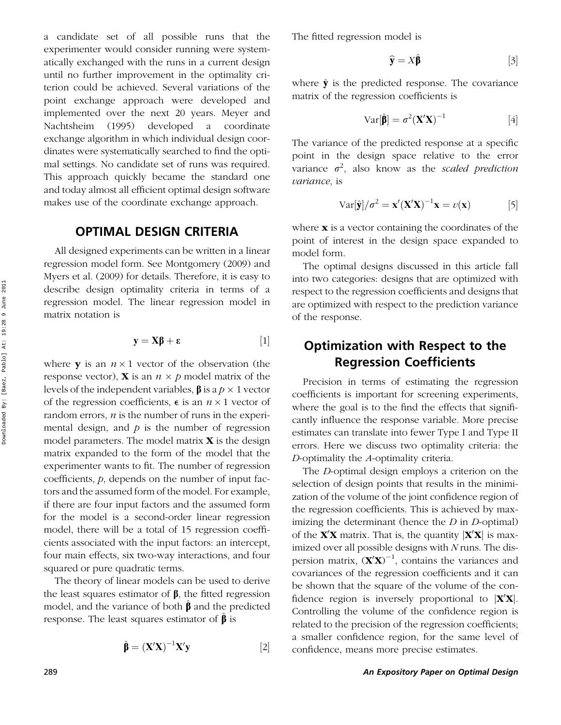a candidate set of all possible runs that the experimenter would consider running were systematically exchanged with the runs in a current design until no further improvement in the optimality criterion could be achieved. Several variations of the point exchange approach were developed and implemented over the next 20 years. Meyer and Nachtsheim (1995) developed a coordinate exchange algorithm in which individual design coordinates were systematically searched to find the optimal settings. No candidate set of runs was required. This approach quickly became the standard one and today almost all efficient optimal design software makes use of the coordinate exchange approach.

## OPTIMAL DESIGN CRITERIA

All designed experiments can be written in a linear regression model form. See Montgomery (2009) and Myers et al. (2009) for details. Therefore, it is easy to describe design optimality criteria in terms of a regression model. The linear regression model in matrix notation is

$$
\mathbf{y} = \mathbf{X}\boldsymbol{\beta} + \boldsymbol{\epsilon} \tag{1}
$$

where **y** is an  $n \times 1$  vector of the observation (the response vector), **X** is an  $n \times p$  model matrix of the levels of the independent variables,  $\beta$  is a  $p \times 1$  vector of the regression coefficients,  $\epsilon$  is an  $n \times 1$  vector of random errors,  $n$  is the number of runs in the experimental design, and  $p$  is the number of regression model parameters. The model matrix  $\bf{X}$  is the design matrix expanded to the form of the model that the experimenter wants to fit. The number of regression coefficients,  $p$ , depends on the number of input factors and the assumed form of the model. For example, if there are four input factors and the assumed form for the model is a second-order linear regression model, there will be a total of 15 regression coefficients associated with the input factors: an intercept, four main effects, six two-way interactions, and four squared or pure quadratic terms.

The theory of linear models can be used to derive the least squares estimator of  $\beta$ , the fitted regression model, and the variance of both  $\hat{\beta}$  and the predicted response. The least squares estimator of  $\hat{\beta}$  is

$$
\hat{\mathbf{\beta}} = (\mathbf{X}'\mathbf{X})^{-1}\mathbf{X}'\mathbf{y} \tag{2}
$$

The fitted regression model is

$$
\widehat{\mathbf{y}} = X\widehat{\mathbf{\beta}} \tag{3}
$$

where  $\hat{y}$  is the predicted response. The covariance matrix of the regression coefficients is

$$
Var[\hat{\mathbf{\beta}}] = \sigma^2 (\mathbf{X}' \mathbf{X})^{-1}
$$
 [4]

The variance of the predicted response at a specific point in the design space relative to the error variance  $\sigma^2$ , also know as the scaled prediction variance, is

$$
Var[\hat{\mathbf{y}}]/\sigma^2 = \mathbf{x}'(\mathbf{X}'\mathbf{X})^{-1}\mathbf{x} = v(\mathbf{x})
$$
 [5]

where  $\bf{x}$  is a vector containing the coordinates of the point of interest in the design space expanded to model form.

The optimal designs discussed in this article fall into two categories: designs that are optimized with respect to the regression coefficients and designs that are optimized with respect to the prediction variance of the response.

## Optimization with Respect to the Regression Coefficients

Precision in terms of estimating the regression coefficients is important for screening experiments, where the goal is to the find the effects that significantly influence the response variable. More precise estimates can translate into fewer Type I and Type II errors. Here we discuss two optimality criteria: the D-optimality the A-optimality criteria.

The D-optimal design employs a criterion on the selection of design points that results in the minimization of the volume of the joint confidence region of the regression coefficients. This is achieved by maximizing the determinant (hence the  $D$  in  $D$ -optimal) of the  $X'X$  matrix. That is, the quantity  $|X'X|$  is maximized over all possible designs with N runs. The dispersion matrix,  $(\mathbf{X}'\mathbf{X})^{-1}$ , contains the variances and covariances of the regression coefficients and it can be shown that the square of the volume of the confidence region is inversely proportional to  $|{\bf X}' {\bf X}|$ . Controlling the volume of the confidence region is related to the precision of the regression coefficients; a smaller confidence region, for the same level of confidence, means more precise estimates.

Downloaded By: [Baez, Pablo] At: 19:28 9 June 2011 Downloaded By: [Baez, Pablo] At: 19:28 9 June 2011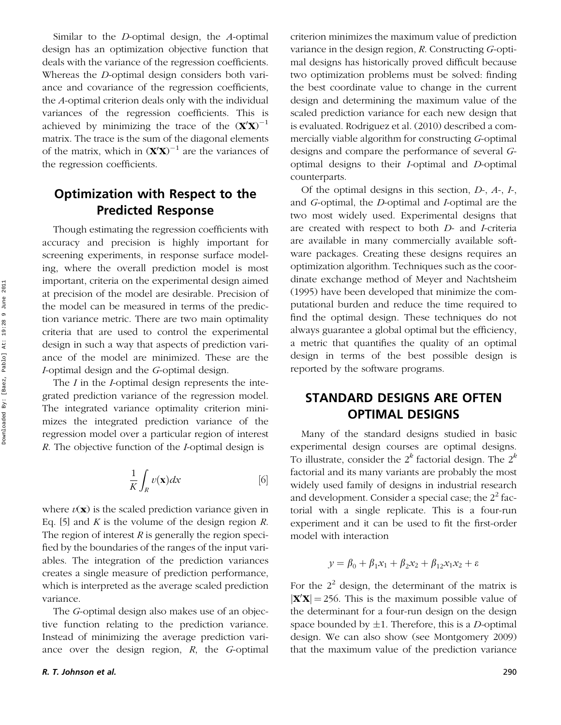Similar to the D-optimal design, the A-optimal design has an optimization objective function that deals with the variance of the regression coefficients. Whereas the D-optimal design considers both variance and covariance of the regression coefficients, the A-optimal criterion deals only with the individual variances of the regression coefficients. This is achieved by minimizing the trace of the  $(\mathbf{X}'\mathbf{X})^{-1}$ matrix. The trace is the sum of the diagonal elements of the matrix, which in  $(\mathbf{X}'\mathbf{X})^{-1}$  are the variances of the regression coefficients.

## Optimization with Respect to the Predicted Response

Though estimating the regression coefficients with accuracy and precision is highly important for screening experiments, in response surface modeling, where the overall prediction model is most important, criteria on the experimental design aimed at precision of the model are desirable. Precision of the model can be measured in terms of the prediction variance metric. There are two main optimality criteria that are used to control the experimental design in such a way that aspects of prediction variance of the model are minimized. These are the I-optimal design and the G-optimal design.

The  $I$  in the  $I$ -optimal design represents the integrated prediction variance of the regression model. The integrated variance optimality criterion minimizes the integrated prediction variance of the regression model over a particular region of interest R. The objective function of the I-optimal design is

$$
\frac{1}{K} \int_{R} v(\mathbf{x}) dx \tag{6}
$$

where  $v(\mathbf{x})$  is the scaled prediction variance given in Eq. [5] and  $K$  is the volume of the design region  $R$ . The region of interest  $R$  is generally the region specified by the boundaries of the ranges of the input variables. The integration of the prediction variances creates a single measure of prediction performance, which is interpreted as the average scaled prediction variance.

The G-optimal design also makes use of an objective function relating to the prediction variance. Instead of minimizing the average prediction variance over the design region, R, the G-optimal criterion minimizes the maximum value of prediction variance in the design region, R. Constructing G-optimal designs has historically proved difficult because two optimization problems must be solved: finding the best coordinate value to change in the current design and determining the maximum value of the scaled prediction variance for each new design that is evaluated. Rodriguez et al. (2010) described a commercially viable algorithm for constructing G-optimal designs and compare the performance of several Goptimal designs to their I-optimal and D-optimal counterparts.

Of the optimal designs in this section, D-, A-, I-, and G-optimal, the D-optimal and I-optimal are the two most widely used. Experimental designs that are created with respect to both D- and I-criteria are available in many commercially available software packages. Creating these designs requires an optimization algorithm. Techniques such as the coordinate exchange method of Meyer and Nachtsheim (1995) have been developed that minimize the computational burden and reduce the time required to find the optimal design. These techniques do not always guarantee a global optimal but the efficiency, a metric that quantifies the quality of an optimal design in terms of the best possible design is reported by the software programs.

## STANDARD DESIGNS ARE OFTEN OPTIMAL DESIGNS

Many of the standard designs studied in basic experimental design courses are optimal designs. To illustrate, consider the  $2^k$  factorial design. The  $2^k$ factorial and its many variants are probably the most widely used family of designs in industrial research and development. Consider a special case; the  $2<sup>2</sup>$  factorial with a single replicate. This is a four-run experiment and it can be used to fit the first-order model with interaction

$$
y = \beta_0 + \beta_1 x_1 + \beta_2 x_2 + \beta_{12} x_1 x_2 + \varepsilon
$$

For the  $2<sup>2</sup>$  design, the determinant of the matrix is  $|\mathbf{X}'\mathbf{X}| = 256$ . This is the maximum possible value of the determinant for a four-run design on the design space bounded by  $\pm 1$ . Therefore, this is a *D*-optimal design. We can also show (see Montgomery 2009) that the maximum value of the prediction variance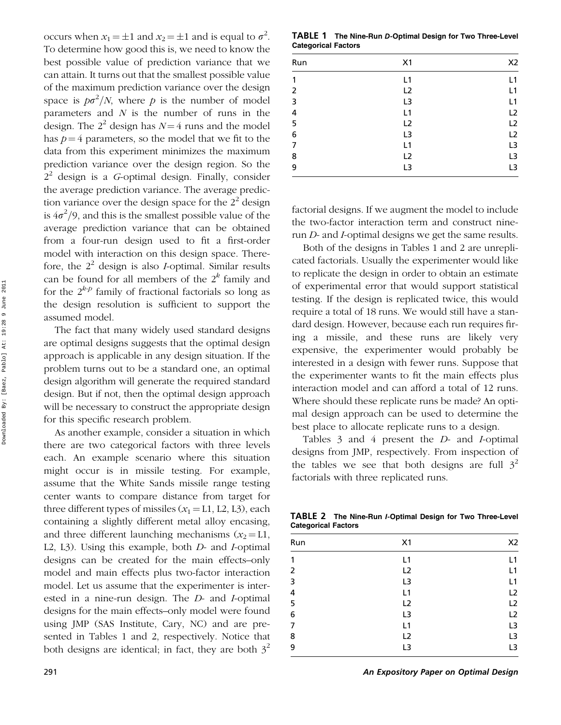occurs when  $x_1 = \pm 1$  and  $x_2 = \pm 1$  and is equal to  $\sigma^2$ . To determine how good this is, we need to know the best possible value of prediction variance that we can attain. It turns out that the smallest possible value of the maximum prediction variance over the design space is  $p\sigma^2/N$ , where p is the number of model parameters and  $N$  is the number of runs in the design. The  $2^2$  design has  $N = 4$  runs and the model has  $p = 4$  parameters, so the model that we fit to the data from this experiment minimizes the maximum prediction variance over the design region. So the  $2<sup>2</sup>$  design is a G-optimal design. Finally, consider the average prediction variance. The average prediction variance over the design space for the  $2<sup>2</sup>$  design is  $4\sigma^2/9$ , and this is the smallest possible value of the average prediction variance that can be obtained from a four-run design used to fit a first-order model with interaction on this design space. Therefore, the  $2<sup>2</sup>$  design is also *I*-optimal. Similar results can be found for all members of the  $2<sup>k</sup>$  family and for the  $2^{k-p}$  family of fractional factorials so long as the design resolution is sufficient to support the assumed model. The fact that many widely used standard designs

are optimal designs suggests that the optimal design approach is applicable in any design situation. If the problem turns out to be a standard one, an optimal design algorithm will generate the required standard design. But if not, then the optimal design approach will be necessary to construct the appropriate design for this specific research problem.

As another example, consider a situation in which there are two categorical factors with three levels each. An example scenario where this situation might occur is in missile testing. For example, assume that the White Sands missile range testing center wants to compare distance from target for three different types of missiles  $(x_1 = L1, L2, L3)$ , each containing a slightly different metal alloy encasing, and three different launching mechanisms  $(x_2 = L1)$ , L2, L3). Using this example, both D- and I-optimal designs can be created for the main effects–only model and main effects plus two-factor interaction model. Let us assume that the experimenter is interested in a nine-run design. The D- and I-optimal designs for the main effects–only model were found using JMP (SAS Institute, Cary, NC) and are presented in Tables 1 and 2, respectively. Notice that both designs are identical; in fact, they are both  $3^2$ 

TABLE 1 The Nine-Run D-Optimal Design for Two Three-Level Categorical Factors

| -   |                |                |
|-----|----------------|----------------|
| Run | X1             | X <sub>2</sub> |
| 1   | L1             | L1             |
| 2   | L2             | L1             |
| 3   | L <sub>3</sub> | L1             |
| 4   | L1             | L2             |
| 5   | L2             | L2             |
| 6   | L <sub>3</sub> | L2             |
| 7   | L1             | L3             |
| 8   | L2             | L3             |
| 9   | L <sub>3</sub> | L3             |

factorial designs. If we augment the model to include the two-factor interaction term and construct ninerun D- and I-optimal designs we get the same results.

Both of the designs in Tables 1 and 2 are unreplicated factorials. Usually the experimenter would like to replicate the design in order to obtain an estimate of experimental error that would support statistical testing. If the design is replicated twice, this would require a total of 18 runs. We would still have a standard design. However, because each run requires firing a missile, and these runs are likely very expensive, the experimenter would probably be interested in a design with fewer runs. Suppose that the experimenter wants to fit the main effects plus interaction model and can afford a total of 12 runs. Where should these replicate runs be made? An optimal design approach can be used to determine the best place to allocate replicate runs to a design.

Tables 3 and 4 present the D- and I-optimal designs from JMP, respectively. From inspection of the tables we see that both designs are full  $3^2$ factorials with three replicated runs.

|                            | TABLE 2 The Nine-Run I-Optimal Design for Two Three-Level |  |  |  |
|----------------------------|-----------------------------------------------------------|--|--|--|
| <b>Categorical Factors</b> |                                                           |  |  |  |

| X1             | X <sub>2</sub> |
|----------------|----------------|
| L1             | L1             |
| L <sub>2</sub> | L1             |
| L3             | L1             |
| L1             | L2             |
| L2             | L <sub>2</sub> |
| L3             | L2             |
| L1             | L <sub>3</sub> |
| L2             | L3             |
| L3             | L3             |
|                |                |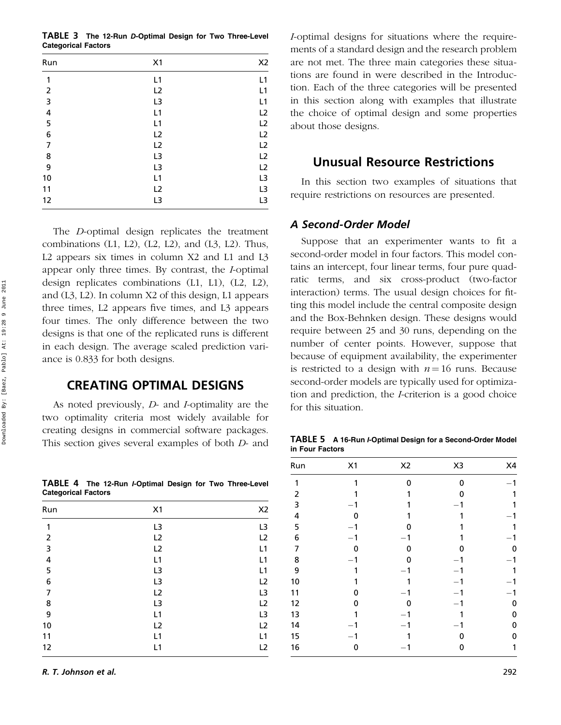| -- 3           |    |                |  |  |
|----------------|----|----------------|--|--|
| Run            | X1 | X <sub>2</sub> |  |  |
| 1              | L1 | L1             |  |  |
| $\mathbf 2$    | L2 | L1             |  |  |
| 3              | L3 | L1             |  |  |
| 4              | L1 | L2             |  |  |
| 5              | L1 | L2             |  |  |
| 6              | L2 | L2             |  |  |
| $\overline{7}$ | L2 | L2             |  |  |
| 8              | L3 | L2             |  |  |
| 9              | L3 | L2             |  |  |
| 10             | L1 | L3             |  |  |
| 11             | L2 | L3             |  |  |
| 12             | L3 | L3             |  |  |
|                |    |                |  |  |

TABLE 3 The 12-Run D-Optimal Design for Two Three-Level Categorical Factors

The D-optimal design replicates the treatment combinations (L1, L2), (L2, L2), and (L3, L2). Thus, L2 appears six times in column X2 and L1 and L3 appear only three times. By contrast, the I-optimal design replicates combinations (L1, L1), (L2, L2), and (L3, L2). In column X2 of this design, L1 appears three times, L2 appears five times, and L3 appears four times. The only difference between the two designs is that one of the replicated runs is different in each design. The average scaled prediction variance is 0.833 for both designs.

#### CREATING OPTIMAL DESIGNS

As noted previously, D- and I-optimality are the two optimality criteria most widely available for creating designs in commercial software packages. This section gives several examples of both D- and

TABLE 4 The 12-Run *I*-Optimal Design for Two Three-Level Categorical Factors

| Run | X1 | X2 |
|-----|----|----|
| 1   | L3 | L3 |
| 2   | L2 | L2 |
| 3   | L2 | L1 |
| 4   | L1 | L1 |
| 5   | L3 | L1 |
| 6   | L3 | L2 |
| 7   | L2 | L3 |
| 8   | L3 | L2 |
| 9   | L1 | L3 |
| 10  | L2 | L2 |
| 11  | L1 | L1 |
| 12  | L1 | L2 |
|     |    |    |

I-optimal designs for situations where the requirements of a standard design and the research problem are not met. The three main categories these situations are found in were described in the Introduction. Each of the three categories will be presented in this section along with examples that illustrate the choice of optimal design and some properties about those designs.

## Unusual Resource Restrictions

In this section two examples of situations that require restrictions on resources are presented.

#### A Second-Order Model

Suppose that an experimenter wants to fit a second-order model in four factors. This model contains an intercept, four linear terms, four pure quadratic terms, and six cross-product (two-factor interaction) terms. The usual design choices for fitting this model include the central composite design and the Box-Behnken design. These designs would require between 25 and 30 runs, depending on the number of center points. However, suppose that because of equipment availability, the experimenter is restricted to a design with  $n = 16$  runs. Because second-order models are typically used for optimization and prediction, the I-criterion is a good choice for this situation.

TABLE 5 A 16-Run *I*-Optimal Design for a Second-Order Model in Four Factors

| Run            | X1   | X <sub>2</sub>                | X <sub>3</sub>                | X4  |
|----------------|------|-------------------------------|-------------------------------|-----|
| 1              | 1    | 0                             | 0                             | - 1 |
| $\overline{2}$ |      |                               | O                             |     |
| 3              |      | 1                             |                               |     |
| 4              | 0    |                               | 1                             |     |
| 5              | $-1$ | ŋ                             | 1                             |     |
| 6              | $-1$ | 1<br>$\overline{\phantom{0}}$ | 1                             |     |
| 7              | O    | ŋ                             | n                             | O   |
| 8              |      | 0                             | 1<br>$\overline{\phantom{0}}$ |     |
| 9              |      |                               | $-1$                          | 1   |
| 10             | 1    |                               | $-1$                          |     |
| 11             | O    |                               | $-1$                          | - 1 |
| 12             | O    | n                             | 1                             | O   |
| 13             | 1    |                               | 1                             | 0   |
| 14             | 1    |                               |                               | 0   |
| 15             | $-1$ |                               | o                             | O   |
| 16             | 0    | ÷                             | 0                             |     |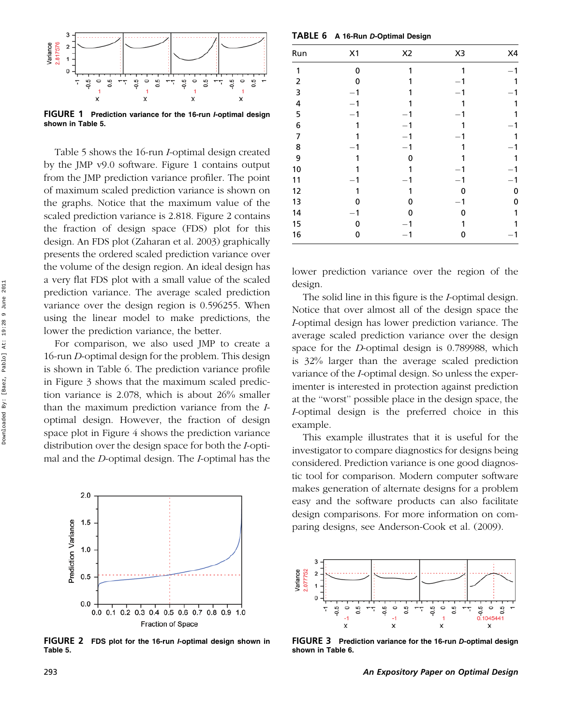

FIGURE 1 Prediction variance for the 16-run *I*-optimal design shown in Table 5.

Table 5 shows the 16-run I-optimal design created by the JMP v9.0 software. Figure 1 contains output from the JMP prediction variance profiler. The point of maximum scaled prediction variance is shown on the graphs. Notice that the maximum value of the scaled prediction variance is 2.818. Figure 2 contains the fraction of design space (FDS) plot for this design. An FDS plot (Zaharan et al. 2003) graphically presents the ordered scaled prediction variance over the volume of the design region. An ideal design has a very flat FDS plot with a small value of the scaled prediction variance. The average scaled prediction variance over the design region is 0.596255. When using the linear model to make predictions, the lower the prediction variance, the better.

For comparison, we also used JMP to create a 16-run D-optimal design for the problem. This design is shown in Table 6. The prediction variance profile in Figure 3 shows that the maximum scaled prediction variance is 2.078, which is about 26% smaller than the maximum prediction variance from the Ioptimal design. However, the fraction of design space plot in Figure 4 shows the prediction variance distribution over the design space for both the I-optimal and the D-optimal design. The I-optimal has the



FIGURE 2 FDS plot for the 16-run *I*-optimal design shown in Table 5.

TABLE 6 A 16-Run D-Optimal Design

| Run                     | X1       | X <sub>2</sub>                | X <sub>3</sub>                 | X4  |
|-------------------------|----------|-------------------------------|--------------------------------|-----|
| 1                       | $\Omega$ | 1                             | 1                              | - 1 |
| $\overline{2}$          | 0        | 1                             | $-1$                           |     |
| 3                       | 1        | 1                             | 1                              |     |
| $\overline{\mathbf{4}}$ | $-1$     |                               |                                |     |
| 5                       | $-1$     | 1<br>Ĭ.                       |                                | 1   |
| 6                       |          | $\overline{\phantom{0}}$<br>1 |                                |     |
| $\overline{7}$          |          | 1<br>$\overline{\phantom{0}}$ |                                |     |
| 8                       |          | 1                             |                                |     |
| 9                       |          | 0                             |                                | 1   |
| 10                      |          | 1                             | 1                              |     |
| 11                      |          |                               | -1<br>$\overline{\phantom{0}}$ | -1  |
| 12                      |          | 1                             | 0                              | 0   |
| 13                      | n        | 0                             | 1                              | 0   |
| 14                      | 1        | 0                             | 0                              | 1   |
| 15                      | 0        | 1                             | 1                              |     |
| 16                      | 0        | $-1$                          | 0                              | - 1 |

lower prediction variance over the region of the design.

The solid line in this figure is the I-optimal design. Notice that over almost all of the design space the I-optimal design has lower prediction variance. The average scaled prediction variance over the design space for the D-optimal design is 0.789988, which is 32% larger than the average scaled prediction variance of the I-optimal design. So unless the experimenter is interested in protection against prediction at the ''worst'' possible place in the design space, the I-optimal design is the preferred choice in this example.

This example illustrates that it is useful for the investigator to compare diagnostics for designs being considered. Prediction variance is one good diagnostic tool for comparison. Modern computer software makes generation of alternate designs for a problem easy and the software products can also facilitate design comparisons. For more information on comparing designs, see Anderson-Cook et al. (2009).



FIGURE 3 Prediction variance for the 16-run D-optimal design shown in Table 6.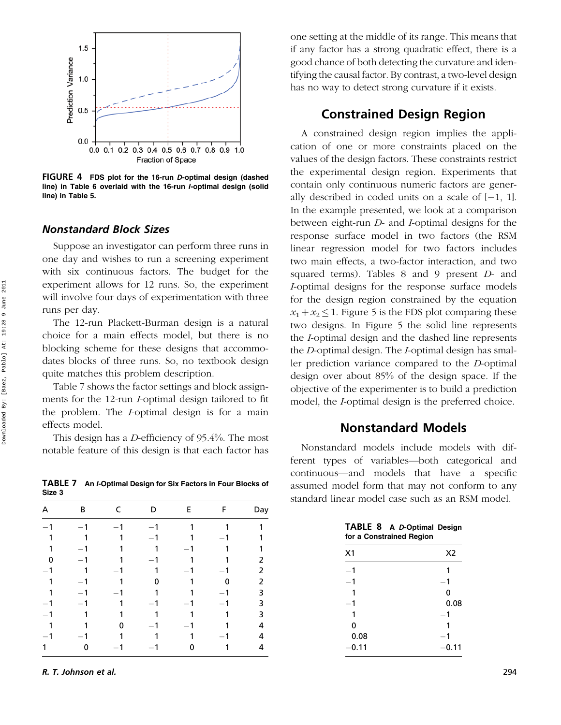

FIGURE 4 FDS plot for the 16-run D-optimal design (dashed line) in Table 6 overlaid with the 16-run I-optimal design (solid line) in Table 5.

#### Nonstandard Block Sizes

Suppose an investigator can perform three runs in one day and wishes to run a screening experiment with six continuous factors. The budget for the experiment allows for 12 runs. So, the experiment will involve four days of experimentation with three runs per day.

The 12-run Plackett-Burman design is a natural choice for a main effects model, but there is no blocking scheme for these designs that accommodates blocks of three runs. So, no textbook design quite matches this problem description.

Table 7 shows the factor settings and block assignments for the 12-run I-optimal design tailored to fit the problem. The I-optimal design is for a main effects model.

This design has a D-efficiency of 95.4%. The most notable feature of this design is that each factor has

TABLE 7 An I-Optimal Design for Six Factors in Four Blocks of Size 3

| А | B                        |                          | Е | F | Day |
|---|--------------------------|--------------------------|---|---|-----|
|   |                          |                          |   |   |     |
|   |                          | $\overline{\phantom{0}}$ |   |   |     |
|   | $\overline{\phantom{0}}$ |                          |   |   |     |
|   | -                        |                          |   |   |     |
|   |                          |                          |   |   | 2   |
|   | $\overline{\phantom{0}}$ |                          |   |   | 2   |
|   | $\overline{\phantom{m}}$ |                          |   |   | 3   |
|   | $\overline{\phantom{0}}$ |                          |   |   | 3   |
|   |                          |                          |   |   | 3   |
|   |                          |                          |   |   | 4   |
|   |                          |                          |   |   |     |
| 1 |                          |                          | O |   | 4   |

one setting at the middle of its range. This means that if any factor has a strong quadratic effect, there is a good chance of both detecting the curvature and identifying the causal factor. By contrast, a two-level design has no way to detect strong curvature if it exists.

## Constrained Design Region

A constrained design region implies the application of one or more constraints placed on the values of the design factors. These constraints restrict the experimental design region. Experiments that contain only continuous numeric factors are generally described in coded units on a scale of  $[-1, 1]$ . In the example presented, we look at a comparison between eight-run D- and I-optimal designs for the response surface model in two factors (the RSM linear regression model for two factors includes two main effects, a two-factor interaction, and two squared terms). Tables 8 and 9 present D- and I-optimal designs for the response surface models for the design region constrained by the equation  $x_1 + x_2 \leq 1$ . Figure 5 is the FDS plot comparing these two designs. In Figure 5 the solid line represents the I-optimal design and the dashed line represents the D-optimal design. The I-optimal design has smaller prediction variance compared to the D-optimal design over about 85% of the design space. If the objective of the experimenter is to build a prediction model, the I-optimal design is the preferred choice.

#### Nonstandard Models

Nonstandard models include models with different types of variables—both categorical and continuous—and models that have a specific assumed model form that may not conform to any standard linear model case such as an RSM model.

| for a Constrained Region | TABLE 8 A D-Optimal Design |
|--------------------------|----------------------------|
| X <sub>1</sub>           | X <sub>2</sub>             |
| $-1$                     | 1                          |
| - 1                      | –1                         |
|                          | 0                          |
| $-1$                     | 0.08                       |
| 1                        | $-1$                       |
| 0                        |                            |
| 0.08                     | –1                         |
| $-0.11$                  | 0.11                       |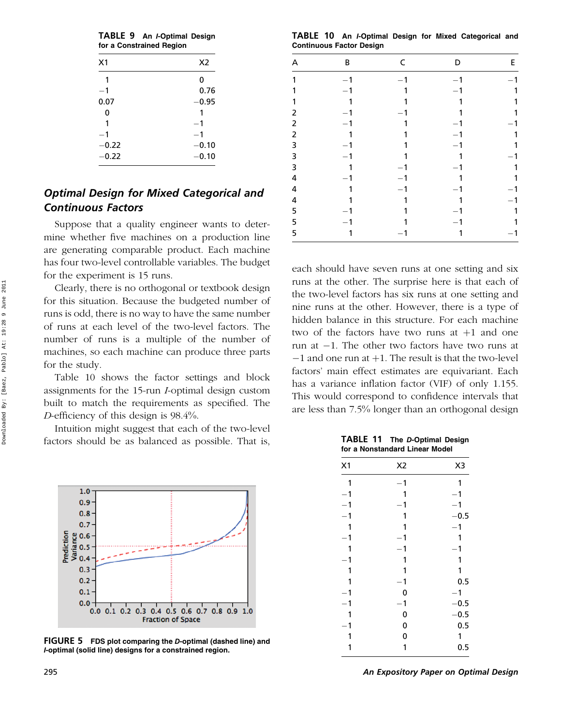| TABLE 9 An <i>I</i> -Optimal Design<br>for a Constrained Region |         |  |  |  |
|-----------------------------------------------------------------|---------|--|--|--|
| X <sub>1</sub>                                                  | X2      |  |  |  |
|                                                                 | O       |  |  |  |
| $-1$                                                            | 0.76    |  |  |  |
| 0.07                                                            | $-0.95$ |  |  |  |
| O                                                               |         |  |  |  |
| 1                                                               | $-1$    |  |  |  |
| - 1                                                             | $-1$    |  |  |  |
| $-0.22$                                                         | $-0.10$ |  |  |  |
| $-0.22$                                                         | $-0.10$ |  |  |  |

## Optimal Design for Mixed Categorical and Continuous Factors

Suppose that a quality engineer wants to determine whether five machines on a production line are generating comparable product. Each machine has four two-level controllable variables. The budget for the experiment is 15 runs.

Clearly, there is no orthogonal or textbook design for this situation. Because the budgeted number of runs is odd, there is no way to have the same number of runs at each level of the two-level factors. The number of runs is a multiple of the number of machines, so each machine can produce three parts for the study.

Table 10 shows the factor settings and block assignments for the 15-run I-optimal design custom built to match the requirements as specified. The D-efficiency of this design is 98.4%.

Intuition might suggest that each of the two-level factors should be as balanced as possible. That is,



FIGURE 5 FDS plot comparing the D-optimal (dashed line) and I-optimal (solid line) designs for a constrained region.

TABLE 10 An I-Optimal Design for Mixed Categorical and Continuous Factor Design

| A | В            | C            | D            | E            |
|---|--------------|--------------|--------------|--------------|
|   |              |              |              |              |
| 1 | $-1$         | $-1$         | $-1$         | $-1$         |
| 1 | $-1$         | 1            | $-1$         | 1            |
| 1 | $\mathbf{1}$ | 1            | 1            | 1            |
| 2 | $-1$         | $-1$         | 1            | 1            |
| 2 | $-1$         | 1            | $-1$         | $\mathbf{1}$ |
| 2 | $\mathbf{1}$ |              | $-1$         | 1            |
| 3 | $-1$         |              | $-1$         | 1            |
| 3 | $-1$         | 1            | $\mathbf{1}$ | 1            |
| 3 | $\mathbf{1}$ | $-1$         | $-1$         | 1            |
| 4 | $-1$         | $-1$         | 1            | 1            |
| 4 | 1            | $-1$         | $-1$         | -1           |
| 4 | 1            | $\mathbf{1}$ | 1            | $-1$         |
| 5 | $-1$         |              | $-1$         | 1            |
| 5 | $-1$         | 1            | $-1$         | 1            |
| 5 | 1            |              | 1            | $-1$         |

each should have seven runs at one setting and six runs at the other. The surprise here is that each of the two-level factors has six runs at one setting and nine runs at the other. However, there is a type of hidden balance in this structure. For each machine two of the factors have two runs at  $+1$  and one run at  $-1$ . The other two factors have two runs at  $-1$  and one run at  $+1$ . The result is that the two-level factors' main effect estimates are equivariant. Each has a variance inflation factor (VIF) of only 1.155. This would correspond to confidence intervals that are less than 7.5% longer than an orthogonal design

|                                | TABLE 11 The D-Optimal Design |
|--------------------------------|-------------------------------|
| for a Nonstandard Linear Model |                               |

| X <sub>1</sub> | X <sub>2</sub>                | X <sub>3</sub> |
|----------------|-------------------------------|----------------|
| 1              | $-1$                          | 1              |
| $-1$           | 1                             | $-1$           |
| $-1$           | 1<br>$\overline{\phantom{0}}$ | $-1$           |
| $-1$           | 1                             | $-0.5$         |
| 1              | 1                             | $-1$           |
| $-1$           | $-1$                          | 1              |
| 1              | $-1$                          | 1              |
| 1              | 1                             | 1              |
| 1              | 1                             | 1              |
| 1              | 1                             | 0.5            |
| $-1$           | 0                             | $-1$           |
| $-1$           | $-1$                          | $-0.5$         |
| 1              | 0                             | $-0.5$         |
| 1              | 0                             | 0.5            |
| 1              | 0                             | 1              |
|                | 1                             | 0.5            |

Pablo] At: 19:28 9 June 2011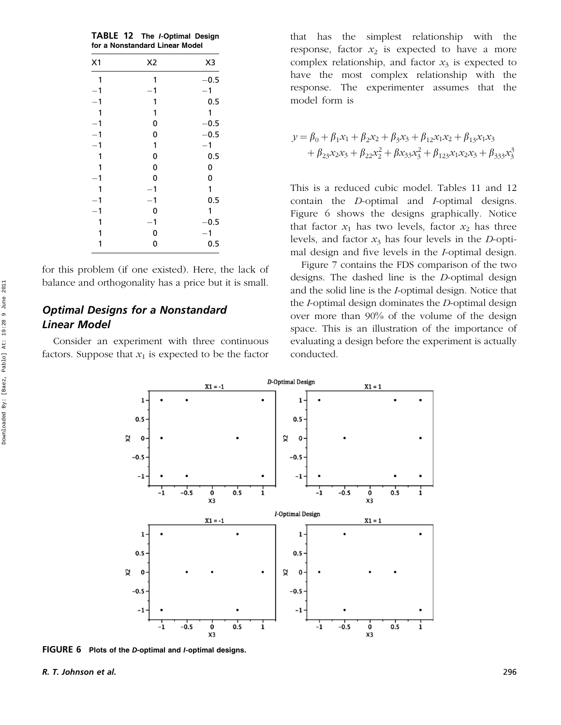| TABLE 12 The <i>I</i> -Optimal Design<br>for a Nonstandard Linear Model |      |        |  |  |
|-------------------------------------------------------------------------|------|--------|--|--|
| X <sub>1</sub>                                                          | X2   | X3     |  |  |
| 1                                                                       | 1    | $-0.5$ |  |  |
| $-1$                                                                    | –1   | $-1$   |  |  |
| $-1$                                                                    | 1    | 0.5    |  |  |
| - 1                                                                     | 1    | 1      |  |  |
| $-1$                                                                    | 0    | $-0.5$ |  |  |
| $-1$                                                                    | 0    | $-0.5$ |  |  |
| $-1$                                                                    | 1    | $-1$   |  |  |
| $\mathbf 1$                                                             | 0    | 0.5    |  |  |
| $\mathbf{1}$                                                            | 0    | 0      |  |  |
| $-1$                                                                    | 0    | 0      |  |  |
| - 1                                                                     | $-1$ | 1      |  |  |
| $-1$                                                                    | $-1$ | 0.5    |  |  |
| $-1$                                                                    | 0    | 1      |  |  |
| 1                                                                       | 1    | $-0.5$ |  |  |
| 1                                                                       | 0    | $-1$   |  |  |
| 1                                                                       | 0    | 0.5    |  |  |

for this problem (if one existed). Here, the lack of balance and orthogonality has a price but it is small.

## Optimal Designs for a Nonstandard Linear Model

Consider an experiment with three continuous factors. Suppose that  $x_1$  is expected to be the factor that has the simplest relationship with the response, factor  $x_2$  is expected to have a more complex relationship, and factor  $x_3$  is expected to have the most complex relationship with the response. The experimenter assumes that the model form is

$$
y = \beta_0 + \beta_1 x_1 + \beta_2 x_2 + \beta_3 x_3 + \beta_{12} x_1 x_2 + \beta_{13} x_1 x_3 + \beta_{23} x_2 x_3 + \beta_{22} x_2^2 + \beta x_3 x_3 x_3^2 + \beta_{123} x_1 x_2 x_3 + \beta_{333} x_3^3
$$

This is a reduced cubic model. Tables 11 and 12 contain the D-optimal and I-optimal designs. Figure 6 shows the designs graphically. Notice that factor  $x_1$  has two levels, factor  $x_2$  has three levels, and factor  $x_3$  has four levels in the D-optimal design and five levels in the I-optimal design.

Figure 7 contains the FDS comparison of the two designs. The dashed line is the D-optimal design and the solid line is the I-optimal design. Notice that the I-optimal design dominates the D-optimal design over more than 90% of the volume of the design space. This is an illustration of the importance of evaluating a design before the experiment is actually conducted.



FIGURE 6 Plots of the D-optimal and I-optimal designs.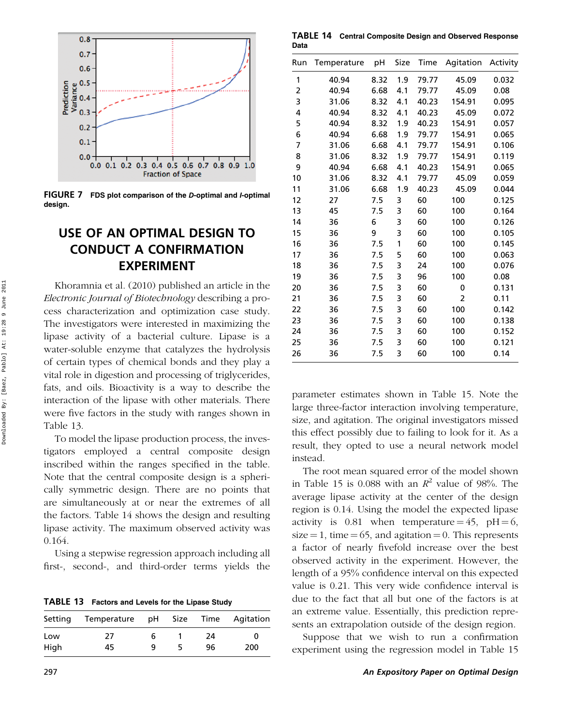

FIGURE 7 FDS plot comparison of the D-optimal and I-optimal design.

## USE OF AN OPTIMAL DESIGN TO CONDUCT A CONFIRMATION EXPERIMENT

Khoramnia et al. (2010) published an article in the Electronic Journal of Biotechnology describing a process characterization and optimization case study. The investigators were interested in maximizing the lipase activity of a bacterial culture. Lipase is a water-soluble enzyme that catalyzes the hydrolysis of certain types of chemical bonds and they play a vital role in digestion and processing of triglycerides, fats, and oils. Bioactivity is a way to describe the interaction of the lipase with other materials. There were five factors in the study with ranges shown in Table 13.

To model the lipase production process, the investigators employed a central composite design inscribed within the ranges specified in the table. Note that the central composite design is a spherically symmetric design. There are no points that are simultaneously at or near the extremes of all the factors. Table 14 shows the design and resulting lipase activity. The maximum observed activity was 0.164.

Using a stepwise regression approach including all first-, second-, and third-order terms yields the

TABLE 13 Factors and Levels for the Lipase Study

| Setting | Temperature pH Size Time Agitation |   |    |     |
|---------|------------------------------------|---|----|-----|
| Low     | 27                                 | n | 24 |     |
| High    | 45                                 | q | 96 | 200 |

TABLE 14 Central Composite Design and Observed Response Data

| Run | Temperature | pH   | Size | Time  | Agitation      | Activity |
|-----|-------------|------|------|-------|----------------|----------|
| 1   | 40.94       | 8.32 | 1.9  | 79.77 | 45.09          | 0.032    |
| 2   | 40.94       | 6.68 | 4.1  | 79.77 | 45.09          | 0.08     |
| 3   | 31.06       | 8.32 | 4.1  | 40.23 | 154.91         | 0.095    |
| 4   | 40.94       | 8.32 | 4.1  | 40.23 | 45.09          | 0.072    |
| 5   | 40.94       | 8.32 | 1.9  | 40.23 | 154.91         | 0.057    |
| 6   | 40.94       | 6.68 | 1.9  | 79.77 | 154.91         | 0.065    |
| 7   | 31.06       | 6.68 | 4.1  | 79.77 | 154.91         | 0.106    |
| 8   | 31.06       | 8.32 | 1.9  | 79.77 | 154.91         | 0.119    |
| 9   | 40.94       | 6.68 | 4.1  | 40.23 | 154.91         | 0.065    |
| 10  | 31.06       | 8.32 | 4.1  | 79.77 | 45.09          | 0.059    |
| 11  | 31.06       | 6.68 | 1.9  | 40.23 | 45.09          | 0.044    |
| 12  | 27          | 7.5  | 3    | 60    | 100            | 0.125    |
| 13  | 45          | 7.5  | 3    | 60    | 100            | 0.164    |
| 14  | 36          | 6    | 3    | 60    | 100            | 0.126    |
| 15  | 36          | 9    | 3    | 60    | 100            | 0.105    |
| 16  | 36          | 7.5  | 1    | 60    | 100            | 0.145    |
| 17  | 36          | 7.5  | 5    | 60    | 100            | 0.063    |
| 18  | 36          | 7.5  | 3    | 24    | 100            | 0.076    |
| 19  | 36          | 7.5  | 3    | 96    | 100            | 0.08     |
| 20  | 36          | 7.5  | 3    | 60    | 0              | 0.131    |
| 21  | 36          | 7.5  | 3    | 60    | $\overline{2}$ | 0.11     |
| 22  | 36          | 7.5  | 3    | 60    | 100            | 0.142    |
| 23  | 36          | 7.5  | 3    | 60    | 100            | 0.138    |
| 24  | 36          | 7.5  | 3    | 60    | 100            | 0.152    |
| 25  | 36          | 7.5  | 3    | 60    | 100            | 0.121    |
| 26  | 36          | 7.5  | 3    | 60    | 100            | 0.14     |
|     |             |      |      |       |                |          |

parameter estimates shown in Table 15. Note the large three-factor interaction involving temperature, size, and agitation. The original investigators missed this effect possibly due to failing to look for it. As a result, they opted to use a neural network model instead.

The root mean squared error of the model shown in Table 15 is 0.088 with an  $R^2$  value of 98%. The average lipase activity at the center of the design region is 0.14. Using the model the expected lipase activity is 0.81 when temperature  $= 45$ , pH  $= 6$ ,  $size = 1$ , time  $= 65$ , and agitation  $= 0$ . This represents a factor of nearly fivefold increase over the best observed activity in the experiment. However, the length of a 95% confidence interval on this expected value is 0.21. This very wide confidence interval is due to the fact that all but one of the factors is at an extreme value. Essentially, this prediction represents an extrapolation outside of the design region.

Suppose that we wish to run a confirmation experiment using the regression model in Table 15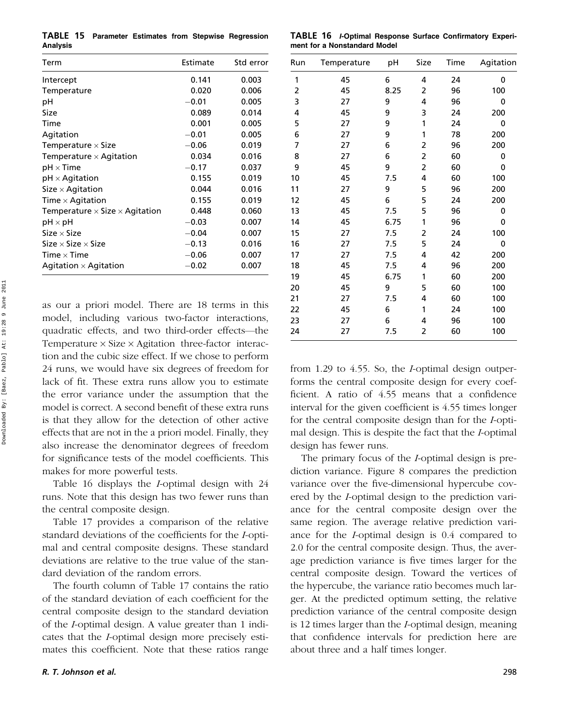TABLE 15 Parameter Estimates from Stepwise Regression Analysis

|  |                              |  | TABLE 16 /-Optimal Response Surface Confirmatory Experi- |  |
|--|------------------------------|--|----------------------------------------------------------|--|
|  | ment for a Nonstandard Model |  |                                                          |  |

| Term                                         | Estimate | Std error |
|----------------------------------------------|----------|-----------|
| Intercept                                    | 0.141    | 0.003     |
| Temperature                                  | 0.020    | 0.006     |
| рH                                           | $-0.01$  | 0.005     |
| Size                                         | 0.089    | 0.014     |
| Time                                         | 0.001    | 0.005     |
| Agitation                                    | $-0.01$  | 0.005     |
| Temperature $\times$ Size                    | $-0.06$  | 0.019     |
| Temperature $\times$ Agitation               | 0.034    | 0.016     |
| $pH \times Time$                             | $-0.17$  | 0.037     |
| $pH \times$ Agitation                        | 0.155    | 0.019     |
| Size $\times$ Agitation                      | 0.044    | 0.016     |
| Time $\times$ Agitation                      | 0.155    | 0.019     |
| Temperature $\times$ Size $\times$ Agitation | 0.448    | 0.060     |
| $pH \times pH$                               | $-0.03$  | 0.007     |
| Size $\times$ Size                           | $-0.04$  | 0.007     |
| Size $\times$ Size $\times$ Size             | $-0.13$  | 0.016     |
| Time $\times$ Time                           | $-0.06$  | 0.007     |
| Agitation $\times$ Agitation                 | $-0.02$  | 0.007     |

as our a priori model. There are 18 terms in this model, including various two-factor interactions, quadratic effects, and two third-order effects—the Temperature  $\times$  Size  $\times$  Agitation three-factor interaction and the cubic size effect. If we chose to perform 24 runs, we would have six degrees of freedom for lack of fit. These extra runs allow you to estimate the error variance under the assumption that the model is correct. A second benefit of these extra runs is that they allow for the detection of other active effects that are not in the a priori model. Finally, they also increase the denominator degrees of freedom for significance tests of the model coefficients. This makes for more powerful tests.

Table 16 displays the I-optimal design with 24 runs. Note that this design has two fewer runs than the central composite design.

Table 17 provides a comparison of the relative standard deviations of the coefficients for the I-optimal and central composite designs. These standard deviations are relative to the true value of the standard deviation of the random errors.

The fourth column of Table 17 contains the ratio of the standard deviation of each coefficient for the central composite design to the standard deviation of the I-optimal design. A value greater than 1 indicates that the I-optimal design more precisely estimates this coefficient. Note that these ratios range

| Run                     | Temperature | pH   | Size | Time | Agitation |
|-------------------------|-------------|------|------|------|-----------|
| 1                       | 45          | 6    | 4    | 24   | 0         |
| $\overline{\mathbf{c}}$ | 45          | 8.25 | 2    | 96   | 100       |
| 3                       | 27          | 9    | 4    | 96   | 0         |
| 4                       | 45          | 9    | 3    | 24   | 200       |
| 5                       | 27          | 9    | 1    | 24   | 0         |
| 6                       | 27          | 9    | 1    | 78   | 200       |
| 7                       | 27          | 6    | 2    | 96   | 200       |
| 8                       | 27          | 6    | 2    | 60   | 0         |
| 9                       | 45          | 9    | 2    | 60   | 0         |
| 10                      | 45          | 7.5  | 4    | 60   | 100       |
| 11                      | 27          | 9    | 5    | 96   | 200       |
| 12                      | 45          | 6    | 5    | 24   | 200       |
| 13                      | 45          | 7.5  | 5    | 96   | 0         |
| 14                      | 45          | 6.75 | 1    | 96   | 0         |
| 15                      | 27          | 7.5  | 2    | 24   | 100       |
| 16                      | 27          | 7.5  | 5    | 24   | 0         |
| 17                      | 27          | 7.5  | 4    | 42   | 200       |
| 18                      | 45          | 7.5  | 4    | 96   | 200       |
| 19                      | 45          | 6.75 | 1    | 60   | 200       |
| 20                      | 45          | 9    | 5    | 60   | 100       |
| 21                      | 27          | 7.5  | 4    | 60   | 100       |
| 22                      | 45          | 6    | 1    | 24   | 100       |
| 23                      | 27          | 6    | 4    | 96   | 100       |
| 24                      | 27          | 7.5  | 2    | 60   | 100       |

from 1.29 to 4.55. So, the I-optimal design outperforms the central composite design for every coefficient. A ratio of 4.55 means that a confidence interval for the given coefficient is 4.55 times longer for the central composite design than for the I-optimal design. This is despite the fact that the I-optimal design has fewer runs.

The primary focus of the I-optimal design is prediction variance. Figure 8 compares the prediction variance over the five-dimensional hypercube covered by the I-optimal design to the prediction variance for the central composite design over the same region. The average relative prediction variance for the I-optimal design is 0.4 compared to 2.0 for the central composite design. Thus, the average prediction variance is five times larger for the central composite design. Toward the vertices of the hypercube, the variance ratio becomes much larger. At the predicted optimum setting, the relative prediction variance of the central composite design is 12 times larger than the I-optimal design, meaning that confidence intervals for prediction here are about three and a half times longer.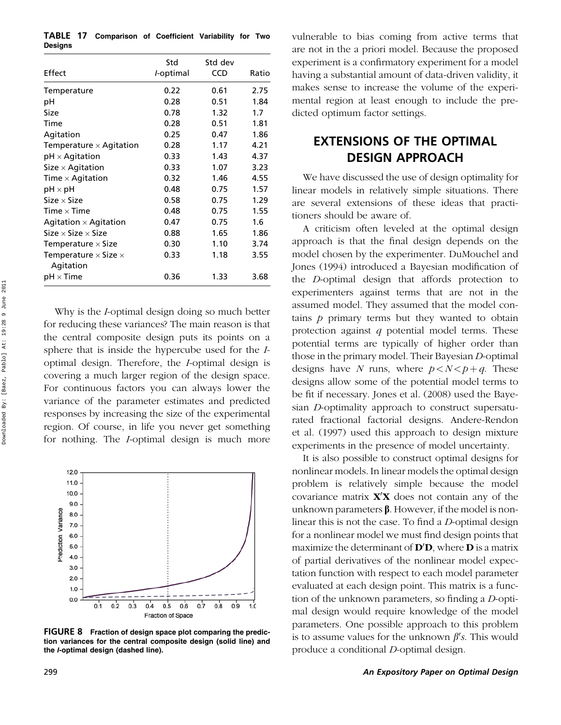| Effect                             | Std<br><i>I</i> -optimal | Std dev<br><b>CCD</b> | Ratio |
|------------------------------------|--------------------------|-----------------------|-------|
| Temperature                        | 0.22                     | 0.61                  | 2.75  |
| рH                                 | 0.28                     | 0.51                  | 1.84  |
| Size                               | 0.78                     | 1.32                  | 1.7   |
| Time                               | 0.28                     | 0.51                  | 1.81  |
| Agitation                          | 0.25                     | 0.47                  | 1.86  |
| Temperature $\times$ Agitation     | 0.28                     | 1.17                  | 4.21  |
| $pH \times$ Agitation              | 0.33                     | 1.43                  | 4.37  |
| Size $\times$ Agitation            | 0.33                     | 1.07                  | 3.23  |
| Time $\times$ Agitation            | 0.32                     | 1.46                  | 4.55  |
| $HQ \times HQ$                     | 0.48                     | 0.75                  | 1.57  |
| Size $\times$ Size                 | 0.58                     | 0.75                  | 1.29  |
| Time $\times$ Time                 | 0.48                     | 0.75                  | 1.55  |
| Agitation $\times$ Agitation       | 0.47                     | 0.75                  | 1.6   |
| Size $\times$ Size $\times$ Size   | 0.88                     | 1.65                  | 1.86  |
| Temperature $\times$ Size          | 0.30                     | 1.10                  | 3.74  |
| Temperature $\times$ Size $\times$ | 0.33                     | 1.18                  | 3.55  |
| Agitation<br>$pH \times Time$      | 0.36                     | 1.33                  | 3.68  |

TABLE 17 Comparison of Coefficient Variability for Two Designs

Why is the I-optimal design doing so much better for reducing these variances? The main reason is that the central composite design puts its points on a sphere that is inside the hypercube used for the Ioptimal design. Therefore, the I-optimal design is covering a much larger region of the design space. For continuous factors you can always lower the variance of the parameter estimates and predicted responses by increasing the size of the experimental region. Of course, in life you never get something for nothing. The I-optimal design is much more



FIGURE 8 Fraction of design space plot comparing the prediction variances for the central composite design (solid line) and the *I*-optimal design (dashed line).

vulnerable to bias coming from active terms that are not in the a priori model. Because the proposed experiment is a confirmatory experiment for a model having a substantial amount of data-driven validity, it makes sense to increase the volume of the experimental region at least enough to include the predicted optimum factor settings.

## EXTENSIONS OF THE OPTIMAL DESIGN APPROACH

We have discussed the use of design optimality for linear models in relatively simple situations. There are several extensions of these ideas that practitioners should be aware of.

A criticism often leveled at the optimal design approach is that the final design depends on the model chosen by the experimenter. DuMouchel and Jones (1994) introduced a Bayesian modification of the D-optimal design that affords protection to experimenters against terms that are not in the assumed model. They assumed that the model contains  *primary terms but they wanted to obtain* protection against  $q$  potential model terms. These potential terms are typically of higher order than those in the primary model. Their Bayesian D-optimal designs have N runs, where  $p < N < p + q$ . These designs allow some of the potential model terms to be fit if necessary. Jones et al. (2008) used the Bayesian D-optimality approach to construct supersaturated fractional factorial designs. Andere-Rendon et al. (1997) used this approach to design mixture experiments in the presence of model uncertainty.

It is also possible to construct optimal designs for nonlinear models. In linear models the optimal design problem is relatively simple because the model covariance matrix  $\mathbf{X}'\mathbf{X}$  does not contain any of the unknown parameters  $\beta$ . However, if the model is nonlinear this is not the case. To find a D-optimal design for a nonlinear model we must find design points that maximize the determinant of  ${\bf D}'{\bf D},$  where  ${\bf D}$  is a matrix of partial derivatives of the nonlinear model expectation function with respect to each model parameter evaluated at each design point. This matrix is a function of the unknown parameters, so finding a D-optimal design would require knowledge of the model parameters. One possible approach to this problem is to assume values for the unknown  $\beta'$ s. This would produce a conditional D-optimal design.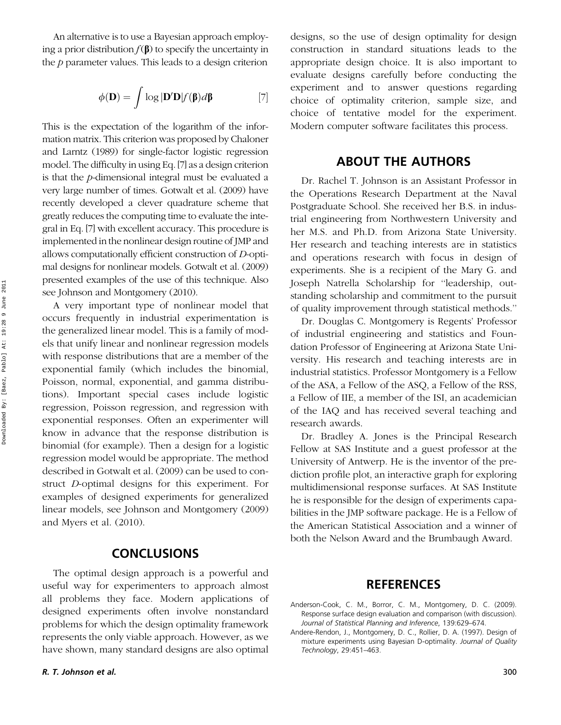An alternative is to use a Bayesian approach employing a prior distribution  $f(\beta)$  to specify the uncertainty in the  $p$  parameter values. This leads to a design criterion

$$
\phi(\mathbf{D}) = \int \log |\mathbf{D}' \mathbf{D}| f(\mathbf{\beta}) d\mathbf{\beta}
$$
 [7]

This is the expectation of the logarithm of the information matrix. This criterion was proposed by Chaloner and Larntz (1989) for single-factor logistic regression model. The difficulty in using Eq. [7] as a design criterion is that the p-dimensional integral must be evaluated a very large number of times. Gotwalt et al. (2009) have recently developed a clever quadrature scheme that greatly reduces the computing time to evaluate the integral in Eq. [7] with excellent accuracy. This procedure is implemented in the nonlinear design routine of JMP and allows computationally efficient construction of D-optimal designs for nonlinear models. Gotwalt et al. (2009) presented examples of the use of this technique. Also see Johnson and Montgomery (2010).

A very important type of nonlinear model that occurs frequently in industrial experimentation is the generalized linear model. This is a family of models that unify linear and nonlinear regression models with response distributions that are a member of the exponential family (which includes the binomial, Poisson, normal, exponential, and gamma distributions). Important special cases include logistic regression, Poisson regression, and regression with exponential responses. Often an experimenter will know in advance that the response distribution is binomial (for example). Then a design for a logistic regression model would be appropriate. The method described in Gotwalt et al. (2009) can be used to construct D-optimal designs for this experiment. For examples of designed experiments for generalized linear models, see Johnson and Montgomery (2009) and Myers et al. (2010).

#### **CONCLUSIONS**

The optimal design approach is a powerful and useful way for experimenters to approach almost all problems they face. Modern applications of designed experiments often involve nonstandard problems for which the design optimality framework represents the only viable approach. However, as we have shown, many standard designs are also optimal designs, so the use of design optimality for design construction in standard situations leads to the appropriate design choice. It is also important to evaluate designs carefully before conducting the experiment and to answer questions regarding choice of optimality criterion, sample size, and choice of tentative model for the experiment. Modern computer software facilitates this process.

#### ABOUT THE AUTHORS

Dr. Rachel T. Johnson is an Assistant Professor in the Operations Research Department at the Naval Postgraduate School. She received her B.S. in industrial engineering from Northwestern University and her M.S. and Ph.D. from Arizona State University. Her research and teaching interests are in statistics and operations research with focus in design of experiments. She is a recipient of the Mary G. and Joseph Natrella Scholarship for ''leadership, outstanding scholarship and commitment to the pursuit of quality improvement through statistical methods.''

Dr. Douglas C. Montgomery is Regents' Professor of industrial engineering and statistics and Foundation Professor of Engineering at Arizona State University. His research and teaching interests are in industrial statistics. Professor Montgomery is a Fellow of the ASA, a Fellow of the ASQ, a Fellow of the RSS, a Fellow of IIE, a member of the ISI, an academician of the IAQ and has received several teaching and research awards.

Dr. Bradley A. Jones is the Principal Research Fellow at SAS Institute and a guest professor at the University of Antwerp. He is the inventor of the prediction profile plot, an interactive graph for exploring multidimensional response surfaces. At SAS Institute he is responsible for the design of experiments capabilities in the JMP software package. He is a Fellow of the American Statistical Association and a winner of both the Nelson Award and the Brumbaugh Award.

#### **REFERENCES**

- Anderson-Cook, C. M., Borror, C. M., Montgomery, D. C. (2009). Response surface design evaluation and comparison (with discussion). Journal of Statistical Planning and Inference, 139:629–674.
- Andere-Rendon, J., Montgomery, D. C., Rollier, D. A. (1997). Design of mixture experiments using Bayesian D-optimality. Journal of Quality Technology, 29:451–463.